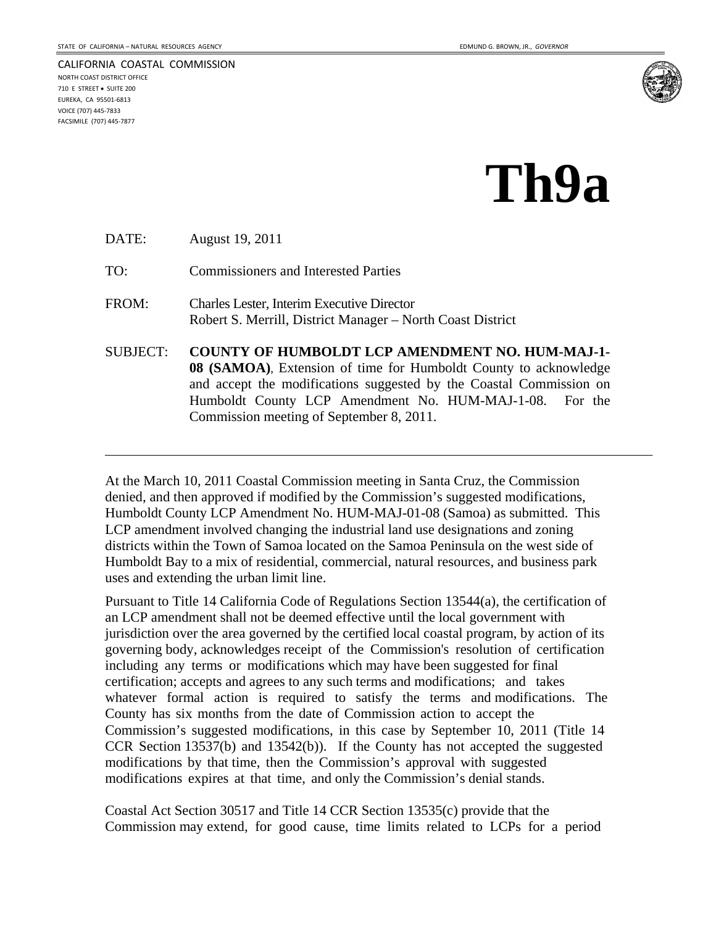CALIFORNIA COASTAL COMMISSION

NORTH COAST DISTRICT OFFICE 710 E STREET · SUITE 200 EUREKA, CA 95501‐6813 VOICE (707) 445‐7833 FACSIMILE (707) 445‐7877



## **Th9a**

DATE: August 19, 2011

TO: Commissioners and Interested Parties

- FROM: Charles Lester, Interim Executive Director Robert S. Merrill, District Manager – North Coast District
- SUBJECT: **COUNTY OF HUMBOLDT LCP AMENDMENT NO. HUM-MAJ-1- 08 (SAMOA)**, Extension of time for Humboldt County to acknowledge and accept the modifications suggested by the Coastal Commission on Humboldt County LCP Amendment No. HUM-MAJ-1-08. For the Commission meeting of September 8, 2011.

At the March 10, 2011 Coastal Commission meeting in Santa Cruz, the Commission denied, and then approved if modified by the Commission's suggested modifications, Humboldt County LCP Amendment No. HUM-MAJ-01-08 (Samoa) as submitted. This LCP amendment involved changing the industrial land use designations and zoning districts within the Town of Samoa located on the Samoa Peninsula on the west side of Humboldt Bay to a mix of residential, commercial, natural resources, and business park uses and extending the urban limit line.

Pursuant to Title 14 California Code of Regulations Section 13544(a), the certification of an LCP amendment shall not be deemed effective until the local government with jurisdiction over the area governed by the certified local coastal program, by action of its governing body, acknowledges receipt of the Commission's resolution of certification including any terms or modifications which may have been suggested for final certification; accepts and agrees to any such terms and modifications; and takes whatever formal action is required to satisfy the terms and modifications. The County has six months from the date of Commission action to accept the Commission's suggested modifications, in this case by September 10, 2011 (Title 14 CCR Section 13537(b) and 13542(b)). If the County has not accepted the suggested modifications by that time, then the Commission's approval with suggested modifications expires at that time, and only the Commission's denial stands.

Coastal Act Section 30517 and Title 14 CCR Section 13535(c) provide that the Commission may extend, for good cause, time limits related to LCPs for a period